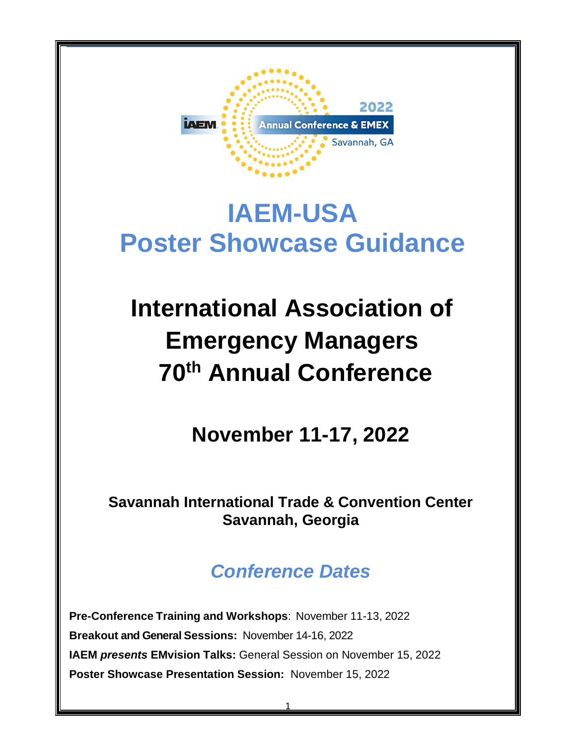

# **IAEM-USA Poster Showcase Guidance**

# **International Association of Emergency Managers 70th Annual Conference**

**November 11-17, 2022**

**Savannah International Trade & Convention Center Savannah, Georgia**

# *Conference Dates*

**Pre-Conference Training and Workshops**: November 11-13, 2022 **Breakout and General Sessions:** November 14-16, 2022 **IAEM** *presents* **EMvision Talks:** General Session on November 15, 2022 **Poster Showcase Presentation Session:** November 15, 2022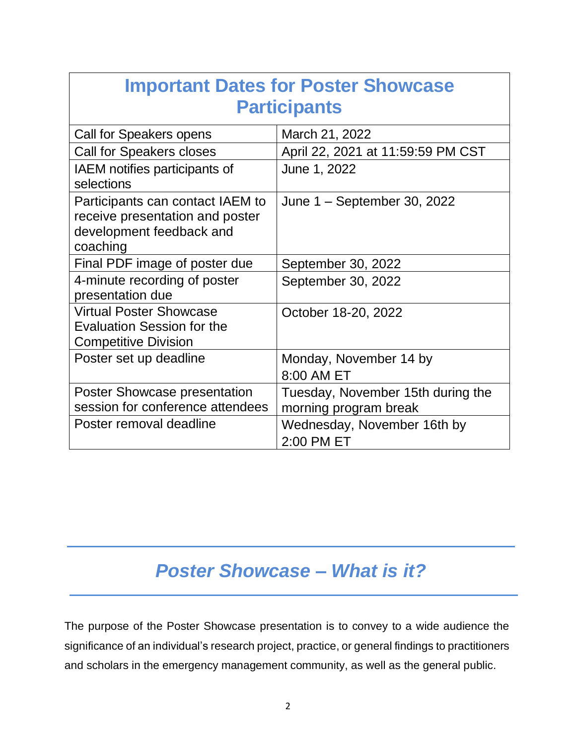| <b>Important Dates for Poster Showcase</b>                                                                  |                                                            |  |
|-------------------------------------------------------------------------------------------------------------|------------------------------------------------------------|--|
| <b>Participants</b>                                                                                         |                                                            |  |
| Call for Speakers opens                                                                                     | March 21, 2022                                             |  |
| <b>Call for Speakers closes</b>                                                                             | April 22, 2021 at 11:59:59 PM CST                          |  |
| IAEM notifies participants of<br>selections                                                                 | June 1, 2022                                               |  |
| Participants can contact IAEM to<br>receive presentation and poster<br>development feedback and<br>coaching | June 1 – September 30, 2022                                |  |
| Final PDF image of poster due                                                                               | September 30, 2022                                         |  |
| 4-minute recording of poster<br>presentation due                                                            | September 30, 2022                                         |  |
| <b>Virtual Poster Showcase</b><br><b>Evaluation Session for the</b><br><b>Competitive Division</b>          | October 18-20, 2022                                        |  |
| Poster set up deadline                                                                                      | Monday, November 14 by<br>8:00 AM ET                       |  |
| <b>Poster Showcase presentation</b><br>session for conference attendees                                     | Tuesday, November 15th during the<br>morning program break |  |
| Poster removal deadline                                                                                     | Wednesday, November 16th by<br>2:00 PM ET                  |  |

# *Poster Showcase – What is it?*

The purpose of the Poster Showcase presentation is to convey to a wide audience the significance of an individual's research project, practice, or general findings to practitioners and scholars in the emergency management community, as well as the general public.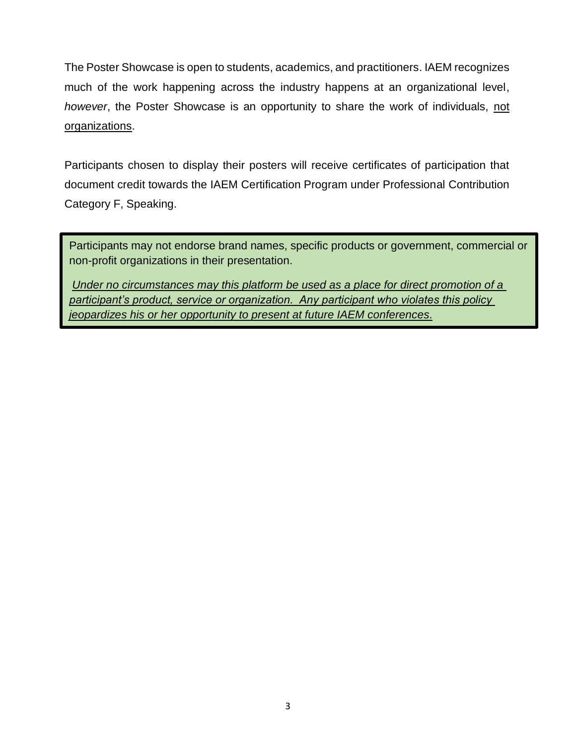The Poster Showcase is open to students, academics, and practitioners. IAEM recognizes much of the work happening across the industry happens at an organizational level, *however*, the Poster Showcase is an opportunity to share the work of individuals, not organizations.

Participants chosen to display their posters will receive certificates of participation that document credit towards the IAEM Certification Program under Professional Contribution Category F, Speaking.

Participants may not endorse brand names, specific products or government, commercial or non-profit organizations in their presentation.

*Under no circumstances may this platform be used as a place for direct promotion of a participant's product, service or organization. Any participant who violates this policy jeopardizes his or her opportunity to present at future IAEM conferences.*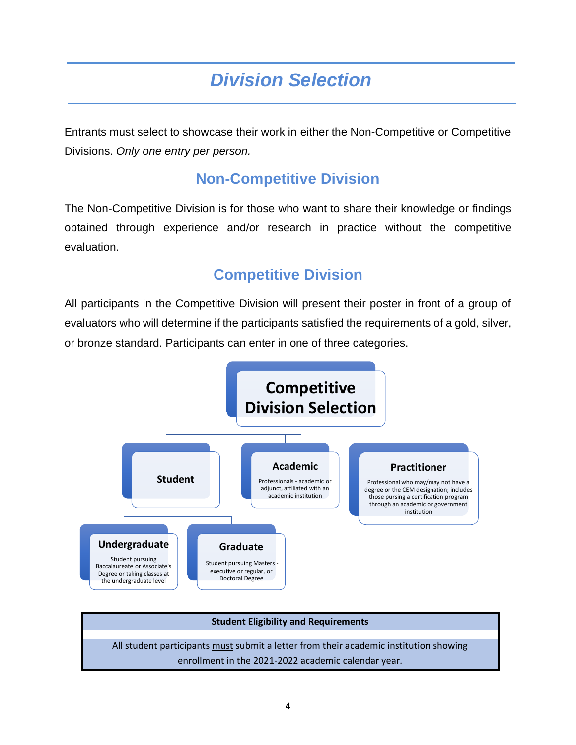# *Division Selection*

Entrants must select to showcase their work in either the Non-Competitive or Competitive Divisions. *Only one entry per person.*

### **Non-Competitive Division**

The Non-Competitive Division is for those who want to share their knowledge or findings obtained through experience and/or research in practice without the competitive evaluation.

### **Competitive Division**

All participants in the Competitive Division will present their poster in front of a group of evaluators who will determine if the participants satisfied the requirements of a gold, silver, or bronze standard. Participants can enter in one of three categories.



# **Student Eligibility and Requirements** All student participants must submit a letter from their academic institution showing enrollment in the 2021-2022 academic calendar year.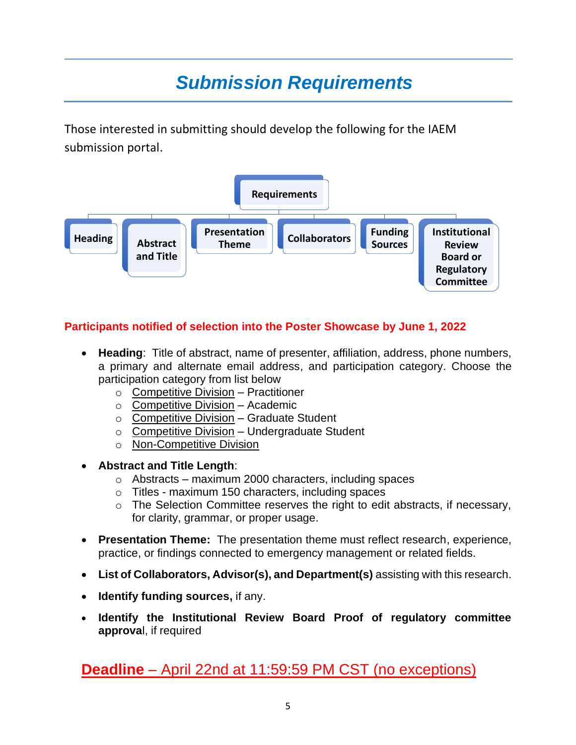# *Submission Requirements*

Those interested in submitting should develop the following for the IAEM submission portal.



#### **Participants notified of selection into the Poster Showcase by June 1, 2022**

- **Heading**: Title of abstract, name of presenter, affiliation, address, phone numbers, a primary and alternate email address, and participation category. Choose the participation category from list below
	- $\circ$  Competitive Division Practitioner
	- $\circ$  Competitive Division Academic
	- $\circ$  Competitive Division Graduate Student
	- o Competitive Division Undergraduate Student
	- o Non-Competitive Division
- **Abstract and Title Length**:
	- o Abstracts maximum 2000 characters, including spaces
	- o Titles maximum 150 characters, including spaces
	- $\circ$  The Selection Committee reserves the right to edit abstracts, if necessary, for clarity, grammar, or proper usage.
- **Presentation Theme:** The presentation theme must reflect research, experience, practice, or findings connected to emergency management or related fields.
- **List of Collaborators, Advisor(s), and Department(s)** assisting with this research.
- **Identify funding sources,** if any.
- **Identify the Institutional Review Board Proof of regulatory committee approva**l, if required

**Deadline** – April 22nd at 11:59:59 PM CST (no exceptions)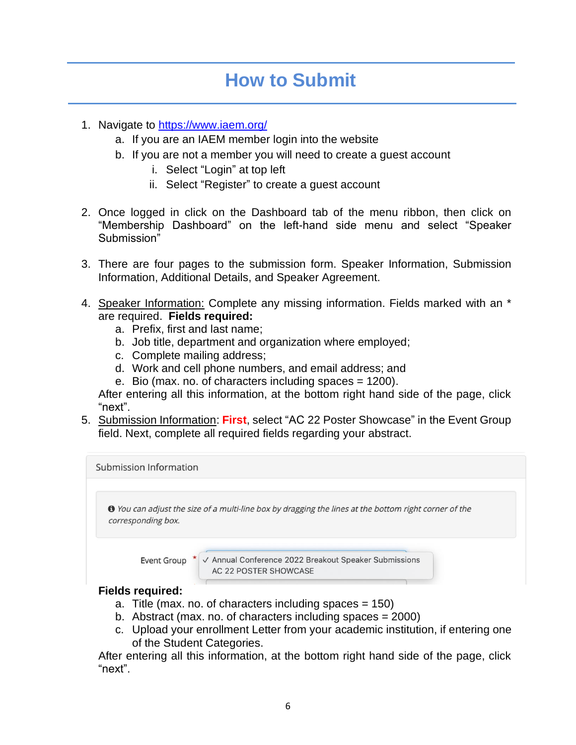## **How to Submit**

- 1. Navigate to <https://www.iaem.org/>
	- a. If you are an IAEM member login into the website
	- b. If you are not a member you will need to create a guest account
		- i. Select "Login" at top left
		- ii. Select "Register" to create a guest account
- 2. Once logged in click on the Dashboard tab of the menu ribbon, then click on "Membership Dashboard" on the left-hand side menu and select "Speaker Submission"
- 3. There are four pages to the submission form. Speaker Information, Submission Information, Additional Details, and Speaker Agreement.
- 4. Speaker Information: Complete any missing information. Fields marked with an \* are required. **Fields required:**
	- a. Prefix, first and last name;
	- b. Job title, department and organization where employed;
	- c. Complete mailing address;
	- d. Work and cell phone numbers, and email address; and
	- e. Bio (max. no. of characters including spaces = 1200).

After entering all this information, at the bottom right hand side of the page, click "next".

5. Submission Information: **First**, select "AC 22 Poster Showcase" in the Event Group field. Next, complete all required fields regarding your abstract.



- a. Title (max. no. of characters including spaces = 150)
- b. Abstract (max. no. of characters including spaces = 2000)
- c. Upload your enrollment Letter from your academic institution, if entering one of the Student Categories.

After entering all this information, at the bottom right hand side of the page, click "next".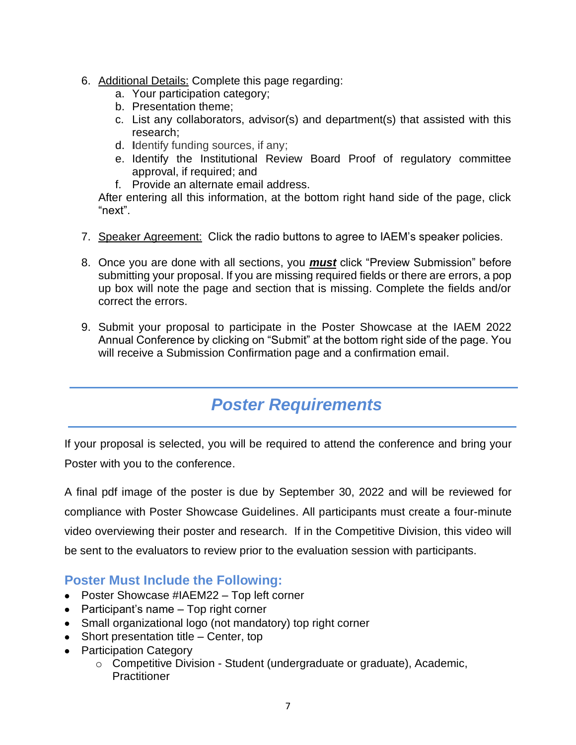- 6. Additional Details: Complete this page regarding:
	- a. Your participation category;
	- b. Presentation theme;
	- c. List any collaborators, advisor(s) and department(s) that assisted with this research;
	- d. **I**dentify funding sources, if any;
	- e. Identify the Institutional Review Board Proof of regulatory committee approval, if required; and
	- f. Provide an alternate email address.

After entering all this information, at the bottom right hand side of the page, click "next".

- 7. Speaker Agreement: Click the radio buttons to agree to IAEM's speaker policies.
- 8. Once you are done with all sections, you *must* click "Preview Submission" before submitting your proposal. If you are missing required fields or there are errors, a pop up box will note the page and section that is missing. Complete the fields and/or correct the errors.
- 9. Submit your proposal to participate in the Poster Showcase at the IAEM 2022 Annual Conference by clicking on "Submit" at the bottom right side of the page. You will receive a Submission Confirmation page and a confirmation email.

### *Poster Requirements*

If your proposal is selected, you will be required to attend the conference and bring your Poster with you to the conference.

A final pdf image of the poster is due by September 30, 2022 and will be reviewed for compliance with Poster Showcase Guidelines. All participants must create a four-minute video overviewing their poster and research. If in the Competitive Division, this video will be sent to the evaluators to review prior to the evaluation session with participants.

### **Poster Must Include the Following:**

- Poster Showcase #IAEM22 Top left corner
- Participant's name Top right corner
- Small organizational logo (not mandatory) top right corner
- Short presentation title Center, top
- Participation Category
	- o Competitive Division Student (undergraduate or graduate), Academic, **Practitioner**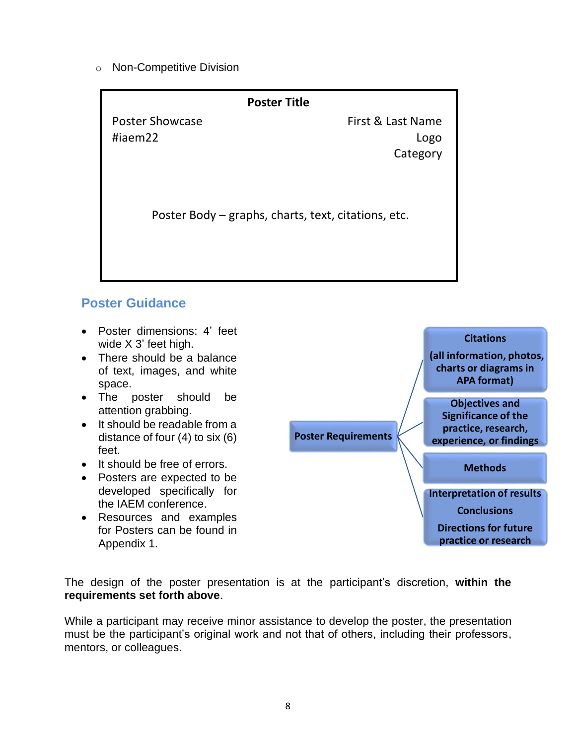o Non-Competitive Division

| <b>Poster Title</b>                                 |                   |
|-----------------------------------------------------|-------------------|
| <b>Poster Showcase</b>                              | First & Last Name |
| #iaem22                                             | Logo              |
|                                                     | Category          |
| Poster Body – graphs, charts, text, citations, etc. |                   |

### **Poster Guidance**

- Poster dimensions: 4' feet wide X 3' feet high.
- There should be a balance of text, images, and white space.
- The poster should be attention grabbing.
- It should be readable from a distance of four (4) to six (6) feet.
- It should be free of errors.
- Posters are expected to be developed specifically for the IAEM conference.
- Resources and examples for Posters can be found in Appendix 1.



The design of the poster presentation is at the participant's discretion, **within the requirements set forth above**.

While a participant may receive minor assistance to develop the poster, the presentation must be the participant's original work and not that of others, including their professors, mentors, or colleagues.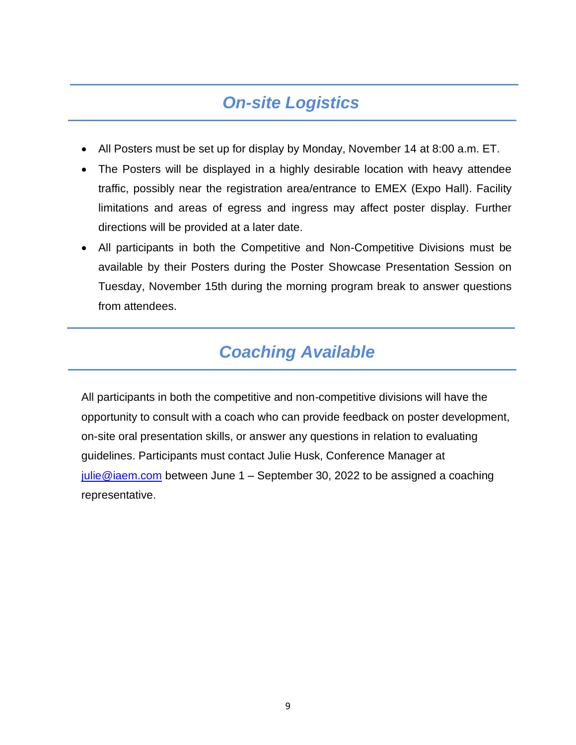### *On-site Logistics*

- All Posters must be set up for display by Monday, November 14 at 8:00 a.m. ET.
- The Posters will be displayed in a highly desirable location with heavy attendee traffic, possibly near the registration area/entrance to EMEX (Expo Hall). Facility limitations and areas of egress and ingress may affect poster display. Further directions will be provided at a later date.
- All participants in both the Competitive and Non-Competitive Divisions must be available by their Posters during the Poster Showcase Presentation Session on Tuesday, November 15th during the morning program break to answer questions from attendees.

### *Coaching Available*

All participants in both the competitive and non-competitive divisions will have the opportunity to consult with a coach who can provide feedback on poster development, on-site oral presentation skills, or answer any questions in relation to evaluating guidelines. Participants must contact Julie Husk, Conference Manager at [julie@iaem.com](mailto:julie@iaem.com) between June  $1 -$  September 30, 2022 to be assigned a coaching representative.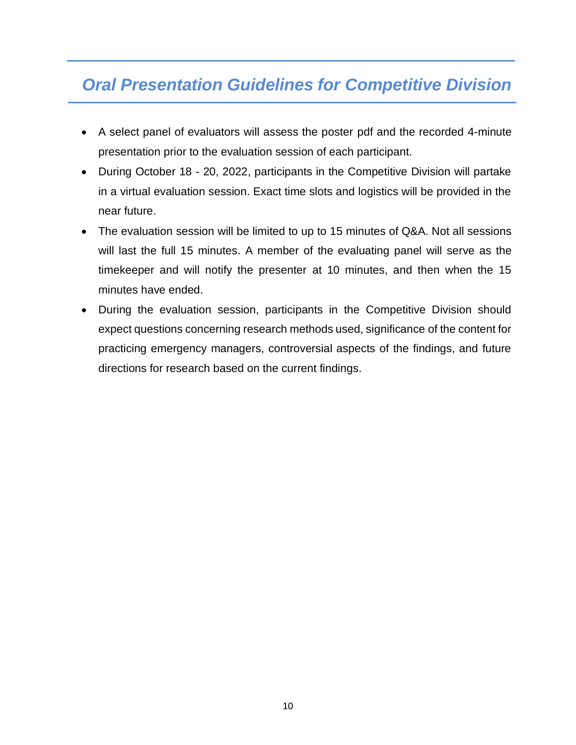### *Oral Presentation Guidelines for Competitive Division*

Ξ

- A select panel of evaluators will assess the poster pdf and the recorded 4-minute presentation prior to the evaluation session of each participant.
- During October 18 20, 2022, participants in the Competitive Division will partake in a virtual evaluation session. Exact time slots and logistics will be provided in the near future.
- The evaluation session will be limited to up to 15 minutes of Q&A. Not all sessions will last the full 15 minutes. A member of the evaluating panel will serve as the timekeeper and will notify the presenter at 10 minutes, and then when the 15 minutes have ended.
- During the evaluation session, participants in the Competitive Division should expect questions concerning research methods used, significance of the content for practicing emergency managers, controversial aspects of the findings, and future directions for research based on the current findings.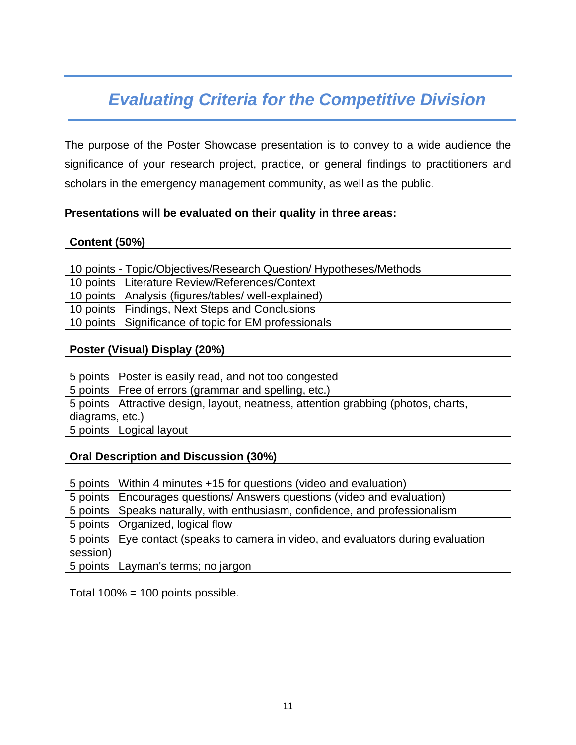## *Evaluating Criteria for the Competitive Division*

The purpose of the Poster Showcase presentation is to convey to a wide audience the significance of your research project, practice, or general findings to practitioners and scholars in the emergency management community, as well as the public.

#### **Presentations will be evaluated on their quality in three areas:**

#### **Content (50%)**

10 points - Topic/Objectives/Research Question/ Hypotheses/Methods

10 points Literature Review/References/Context

10 points Analysis (figures/tables/ well-explained)

10 points Findings, Next Steps and Conclusions

10 points Significance of topic for EM professionals

#### **Poster (Visual) Display (20%)**

5 points Poster is easily read, and not too congested

5 points Free of errors (grammar and spelling, etc.)

5 points Attractive design, layout, neatness, attention grabbing (photos, charts, diagrams, etc.)

5 points Logical layout

#### **Oral Description and Discussion (30%)**

5 points Within 4 minutes +15 for questions (video and evaluation)

5 points Encourages questions/ Answers questions (video and evaluation)

5 points Speaks naturally, with enthusiasm, confidence, and professionalism

5 points Organized, logical flow

5 points Eye contact (speaks to camera in video, and evaluators during evaluation session)

5 points Layman's terms; no jargon

Total  $100\% = 100$  points possible.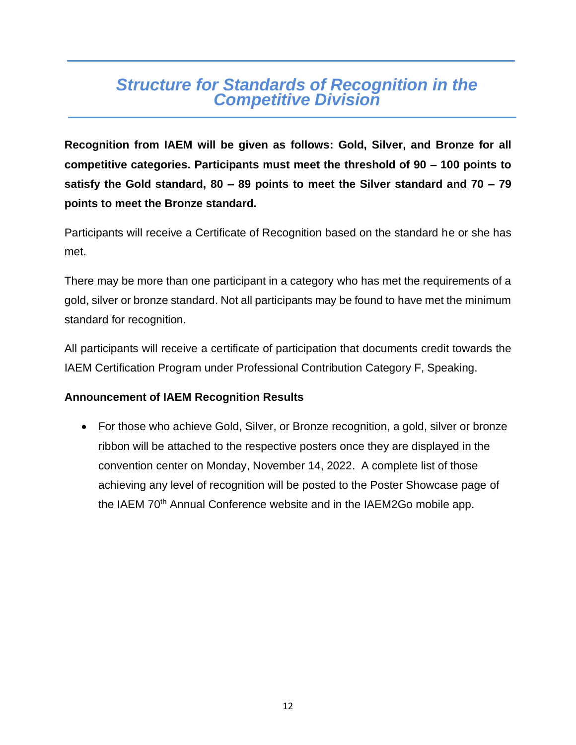### *Structure for Standards of Recognition in the Competitive Division*

**Recognition from IAEM will be given as follows: Gold, Silver, and Bronze for all competitive categories. Participants must meet the threshold of 90 – 100 points to satisfy the Gold standard, 80 – 89 points to meet the Silver standard and 70 – 79 points to meet the Bronze standard.** 

Participants will receive a Certificate of Recognition based on the standard he or she has met.

There may be more than one participant in a category who has met the requirements of a gold, silver or bronze standard. Not all participants may be found to have met the minimum standard for recognition.

All participants will receive a certificate of participation that documents credit towards the IAEM Certification Program under Professional Contribution Category F, Speaking.

#### **Announcement of IAEM Recognition Results**

• For those who achieve Gold, Silver, or Bronze recognition, a gold, silver or bronze ribbon will be attached to the respective posters once they are displayed in the convention center on Monday, November 14, 2022. A complete list of those achieving any level of recognition will be posted to the Poster Showcase page of the IAEM 70<sup>th</sup> Annual Conference website and in the IAEM2Go mobile app.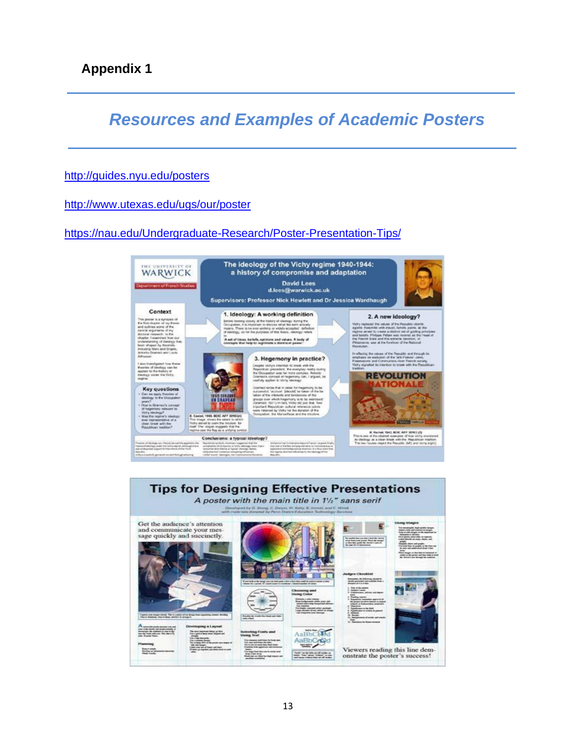*Resources and Examples of Academic Posters*

#### <http://guides.nyu.edu/posters>

<http://www.utexas.edu/ugs/our/poster>

<https://nau.edu/Undergraduate-Research/Poster-Presentation-Tips/>